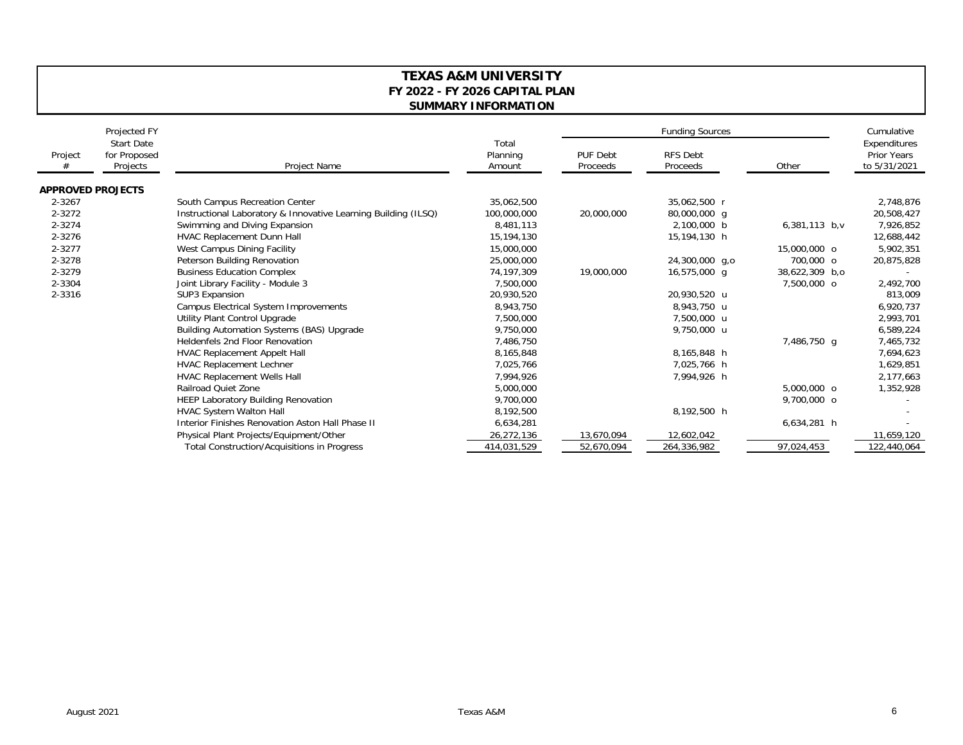## **SUMMARY INFORMATION FY 2022 - FY 2026 CAPITAL PLAN TEXAS A&M UNIVERSITY**

|                          | Projected FY                                  |                                                                |                             |                      | Cumulative                  |                  |                                                    |
|--------------------------|-----------------------------------------------|----------------------------------------------------------------|-----------------------------|----------------------|-----------------------------|------------------|----------------------------------------------------|
| Project                  | <b>Start Date</b><br>for Proposed<br>Projects | Project Name                                                   | Total<br>Planning<br>Amount | PUF Debt<br>Proceeds | <b>RFS Debt</b><br>Proceeds | Other            | Expenditures<br><b>Prior Years</b><br>to 5/31/2021 |
| <b>APPROVED PROJECTS</b> |                                               |                                                                |                             |                      |                             |                  |                                                    |
| 2-3267                   |                                               | South Campus Recreation Center                                 | 35,062,500                  |                      | 35,062,500 r                |                  | 2,748,876                                          |
| 2-3272                   |                                               | Instructional Laboratory & Innovative Learning Building (ILSQ) | 100,000,000                 | 20,000,000           | 80,000,000 g                |                  | 20,508,427                                         |
| 2-3274                   |                                               | Swimming and Diving Expansion                                  | 8,481,113                   |                      | 2,100,000 b                 | $6,381,113$ b, v | 7,926,852                                          |
| 2-3276                   |                                               | HVAC Replacement Dunn Hall                                     | 15,194,130                  |                      | 15,194,130 h                |                  | 12,688,442                                         |
| 2-3277                   |                                               | West Campus Dining Facility                                    | 15,000,000                  |                      |                             | 15,000,000 o     | 5,902,351                                          |
| 2-3278                   |                                               | Peterson Building Renovation                                   | 25,000,000                  |                      | 24,300,000 g,o              | 700,000 o        | 20,875,828                                         |
| 2-3279                   |                                               | <b>Business Education Complex</b>                              | 74.197.309                  | 19,000,000           | 16,575,000 g                | 38,622,309 b,o   |                                                    |
| 2-3304                   |                                               | Joint Library Facility - Module 3                              | 7,500,000                   |                      |                             | 7,500,000 o      | 2,492,700                                          |
| 2-3316                   |                                               | SUP3 Expansion                                                 | 20,930,520                  |                      | 20,930,520 u                |                  | 813,009                                            |
|                          |                                               | Campus Electrical System Improvements                          | 8.943.750                   |                      | 8,943,750 u                 |                  | 6,920,737                                          |
|                          |                                               | Utility Plant Control Upgrade                                  | 7,500,000                   |                      | 7,500,000 u                 |                  | 2,993,701                                          |
|                          |                                               | <b>Building Automation Systems (BAS) Upgrade</b>               | 9,750,000                   |                      | 9,750,000 u                 |                  | 6,589,224                                          |
|                          |                                               | <b>Heldenfels 2nd Floor Renovation</b>                         | 7,486,750                   |                      |                             | 7,486,750 g      | 7,465,732                                          |
|                          |                                               | <b>HVAC Replacement Appelt Hall</b>                            | 8,165,848                   |                      | 8,165,848 h                 |                  | 7,694,623                                          |
|                          |                                               | <b>HVAC Replacement Lechner</b>                                | 7,025,766                   |                      | 7,025,766 h                 |                  | 1,629,851                                          |
|                          |                                               | <b>HVAC Replacement Wells Hall</b>                             | 7,994,926                   |                      | 7,994,926 h                 |                  | 2,177,663                                          |
|                          |                                               | <b>Railroad Quiet Zone</b>                                     | 5,000,000                   |                      |                             | 5,000,000 o      | 1,352,928                                          |
|                          |                                               | <b>HEEP Laboratory Building Renovation</b>                     | 9,700,000                   |                      |                             | 9,700,000 o      |                                                    |
|                          |                                               | <b>HVAC System Walton Hall</b>                                 | 8,192,500                   |                      | 8,192,500 h                 |                  |                                                    |
|                          |                                               | Interior Finishes Renovation Aston Hall Phase II               | 6,634,281                   |                      |                             | 6,634,281 h      |                                                    |
|                          |                                               | Physical Plant Projects/Equipment/Other                        | 26,272,136                  | 13,670,094           | 12,602,042                  |                  | 11,659,120                                         |
|                          |                                               | Total Construction/Acquisitions in Progress                    | 414,031,529                 | 52,670,094           | 264,336,982                 | 97,024,453       | 122,440,064                                        |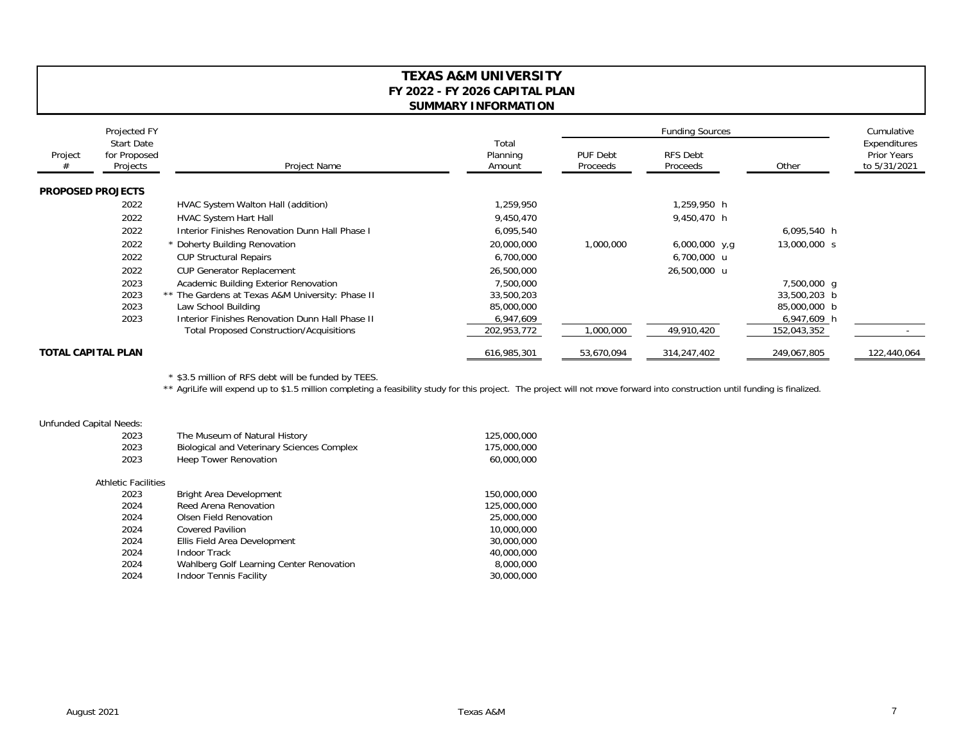## **SUMMARY INFORMATION FY 2022 - FY 2026 CAPITAL PLAN TEXAS A&M UNIVERSITY**

|                           | Projected FY                                  |                                                  |                             |                      | Cumulative                  |              |                                                    |
|---------------------------|-----------------------------------------------|--------------------------------------------------|-----------------------------|----------------------|-----------------------------|--------------|----------------------------------------------------|
| Project                   | <b>Start Date</b><br>for Proposed<br>Projects | Project Name                                     | Total<br>Planning<br>Amount | PUF Debt<br>Proceeds | <b>RFS Debt</b><br>Proceeds | Other        | Expenditures<br><b>Prior Years</b><br>to 5/31/2021 |
| <b>PROPOSED PROJECTS</b>  |                                               |                                                  |                             |                      |                             |              |                                                    |
|                           | 2022                                          | HVAC System Walton Hall (addition)               | 1,259,950                   |                      | 1,259,950 h                 |              |                                                    |
|                           | 2022                                          | <b>HVAC System Hart Hall</b>                     | 9,450,470                   |                      | 9,450,470 h                 |              |                                                    |
|                           | 2022                                          | Interior Finishes Renovation Dunn Hall Phase I   | 6,095,540                   |                      |                             | 6,095,540 h  |                                                    |
|                           | 2022                                          | * Doherty Building Renovation                    | 20,000,000                  | 1,000,000            | $6,000,000$ y,g             | 13,000,000 s |                                                    |
|                           | 2022                                          | <b>CUP Structural Repairs</b>                    | 6,700,000                   |                      | 6,700,000 u                 |              |                                                    |
|                           | 2022                                          | <b>CUP Generator Replacement</b>                 | 26,500,000                  |                      | 26,500,000 u                |              |                                                    |
|                           | 2023                                          | Academic Building Exterior Renovation            | 7,500,000                   |                      |                             | 7,500,000 g  |                                                    |
|                           | 2023                                          | ** The Gardens at Texas A&M University: Phase II | 33,500,203                  |                      |                             | 33,500,203 b |                                                    |
|                           | 2023                                          | Law School Building                              | 85,000,000                  |                      |                             | 85,000,000 b |                                                    |
|                           | 2023                                          | Interior Finishes Renovation Dunn Hall Phase II  | 6,947,609                   |                      |                             | 6,947,609 h  |                                                    |
|                           |                                               | <b>Total Proposed Construction/Acquisitions</b>  | 202,953,772                 | 000,000,             | 49,910,420                  | 152,043,352  |                                                    |
| <b>TOTAL CAPITAL PLAN</b> |                                               |                                                  | 616,985,301                 | 53,670,094           | 314,247,402                 | 249,067,805  | 122,440,064                                        |

\* \$3.5 million of RFS debt will be funded by TEES.

\*\* AgriLife will expend up to \$1.5 million completing a feasibility study for this project. The project will not move forward into construction until funding is finalized.

| Unfunded Capital Needs:    |                                                   |             |
|----------------------------|---------------------------------------------------|-------------|
| 2023                       | The Museum of Natural History                     | 125,000,000 |
| 2023                       | <b>Biological and Veterinary Sciences Complex</b> | 175,000,000 |
| 2023                       | <b>Heep Tower Renovation</b>                      | 60,000,000  |
| <b>Athletic Facilities</b> |                                                   |             |
| 2023                       | <b>Bright Area Development</b>                    | 150,000,000 |
| 2024                       | Reed Arena Renovation                             | 125,000,000 |
| 2024                       | Olsen Field Renovation                            | 25,000,000  |
| 2024                       | <b>Covered Pavilion</b>                           | 10,000,000  |
| 2024                       | Ellis Field Area Development                      | 30,000,000  |
| 2024                       | Indoor Track                                      | 40,000,000  |
| 2024                       | Wahlberg Golf Learning Center Renovation          | 8,000,000   |
| 2024                       | <b>Indoor Tennis Facility</b>                     | 30,000,000  |
|                            |                                                   |             |